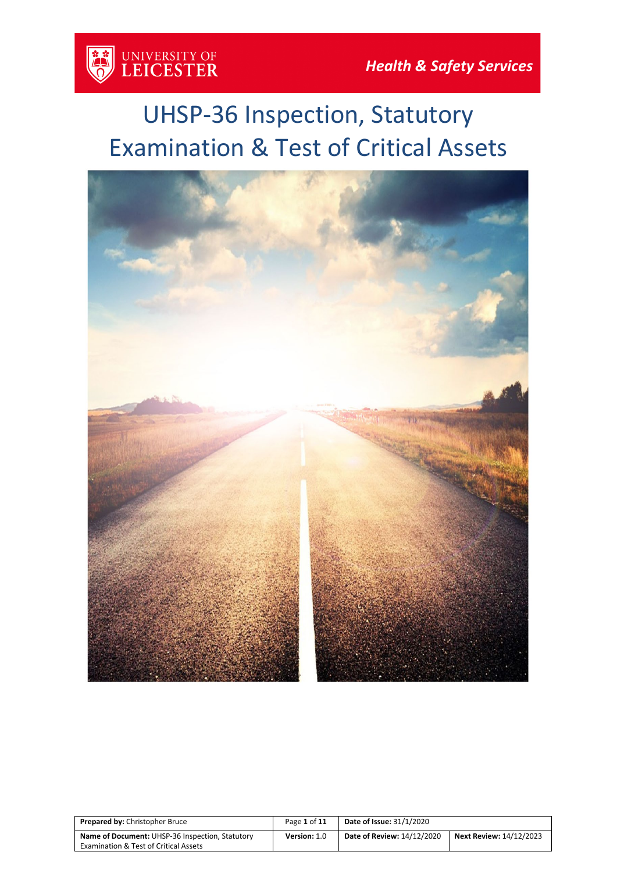

# UHSP-36 Inspection, Statutory Examination & Test of Critical Assets



| <b>Prepared by: Christopher Bruce</b>            | Page 1 of 11 | <b>Date of Issue: 31/1/2020</b>   |                                |
|--------------------------------------------------|--------------|-----------------------------------|--------------------------------|
| Name of Document: UHSP-36 Inspection, Statutory  | Version: 1.0 | <b>Date of Review: 14/12/2020</b> | <b>Next Review: 14/12/2023</b> |
| <b>Examination &amp; Test of Critical Assets</b> |              |                                   |                                |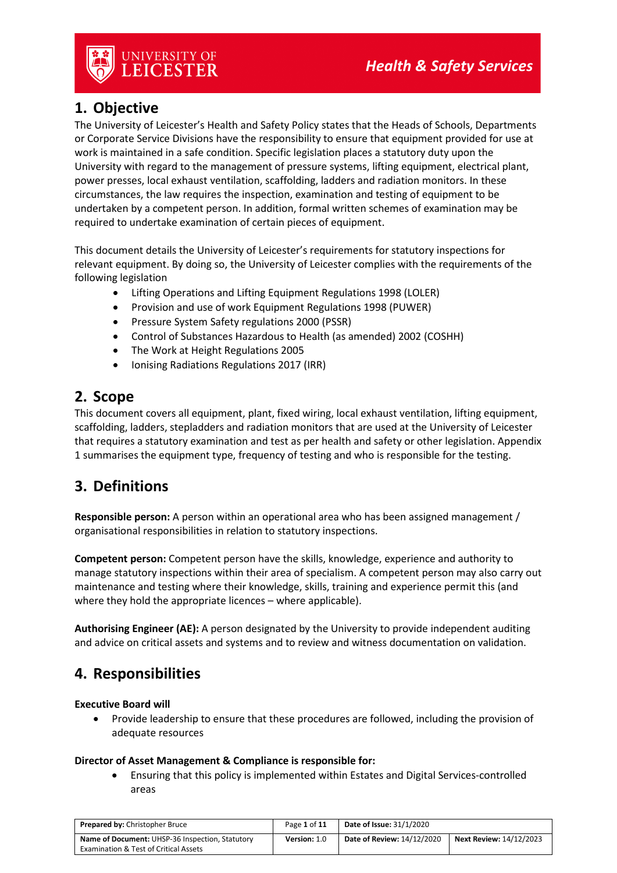

## **1. Objective**

The University of Leicester's Health and Safety Policy states that the Heads of Schools, Departments or Corporate Service Divisions have the responsibility to ensure that equipment provided for use at work is maintained in a safe condition. Specific legislation places a statutory duty upon the University with regard to the management of pressure systems, lifting equipment, electrical plant, power presses, local exhaust ventilation, scaffolding, ladders and radiation monitors. In these circumstances, the law requires the inspection, examination and testing of equipment to be undertaken by a competent person. In addition, formal written schemes of examination may be required to undertake examination of certain pieces of equipment.

This document details the University of Leicester's requirements for statutory inspections for relevant equipment. By doing so, the University of Leicester complies with the requirements of the following legislation

- Lifting Operations and Lifting Equipment Regulations 1998 (LOLER)
- Provision and use of work Equipment Regulations 1998 (PUWER)
- Pressure System Safety regulations 2000 (PSSR)
- Control of Substances Hazardous to Health (as amended) 2002 (COSHH)
- The Work at Height Regulations 2005
- Ionising Radiations Regulations 2017 (IRR)

### **2. Scope**

This document covers all equipment, plant, fixed wiring, local exhaust ventilation, lifting equipment, scaffolding, ladders, stepladders and radiation monitors that are used at the University of Leicester that requires a statutory examination and test as per health and safety or other legislation. Appendix 1 summarises the equipment type, frequency of testing and who is responsible for the testing.

## **3. Definitions**

**Responsible person:** A person within an operational area who has been assigned management / organisational responsibilities in relation to statutory inspections.

**Competent person:** Competent person have the skills, knowledge, experience and authority to manage statutory inspections within their area of specialism. A competent person may also carry out maintenance and testing where their knowledge, skills, training and experience permit this (and where they hold the appropriate licences – where applicable).

**Authorising Engineer (AE):** A person designated by the University to provide independent auditing and advice on critical assets and systems and to review and witness documentation on validation.

## **4. Responsibilities**

#### **Executive Board will**

• Provide leadership to ensure that these procedures are followed, including the provision of adequate resources

#### **Director of Asset Management & Compliance is responsible for:**

• Ensuring that this policy is implemented within Estates and Digital Services-controlled areas

| <b>Prepared by: Christopher Bruce</b>                  | Page 1 of 11 | <b>Date of Issue: 31/1/2020</b>   |                                |
|--------------------------------------------------------|--------------|-----------------------------------|--------------------------------|
| <b>Name of Document: UHSP-36 Inspection, Statutory</b> | Version: 1.0 | <b>Date of Review: 14/12/2020</b> | <b>Next Review: 14/12/2023</b> |
| <b>Examination &amp; Test of Critical Assets</b>       |              |                                   |                                |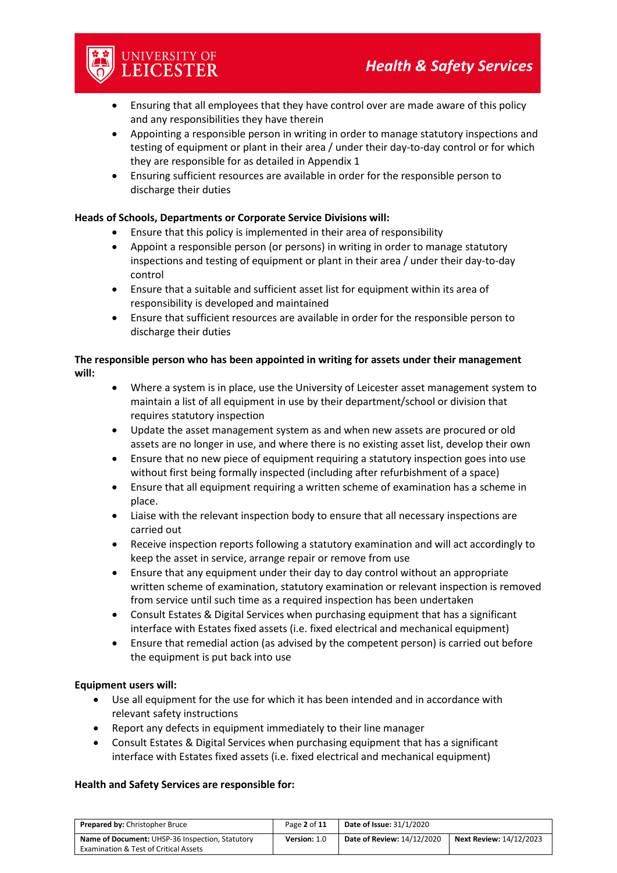

- Appointing a responsible person in writing in order to manage statutory inspections and testing of equipment or plant in their area / under their day-to-day control or for which they are responsible for as detailed in Appendix 1
- Ensuring sufficient resources are available in order for the responsible person to discharge their duties

#### **Heads of Schools, Departments or Corporate Service Divisions will:**

UNIVERSITY OF<br>**LEICESTER** 

- Ensure that this policy is implemented in their area of responsibility
- Appoint a responsible person (or persons) in writing in order to manage statutory inspections and testing of equipment or plant in their area / under their day-to-day control
- Ensure that a suitable and sufficient asset list for equipment within its area of responsibility is developed and maintained
- Ensure that sufficient resources are available in order for the responsible person to discharge their duties

#### **The responsible person who has been appointed in writing for assets under their management will:**

- Where a system is in place, use the University of Leicester asset management system to maintain a list of all equipment in use by their department/school or division that requires statutory inspection
- Update the asset management system as and when new assets are procured or old assets are no longer in use, and where there is no existing asset list, develop their own
- Ensure that no new piece of equipment requiring a statutory inspection goes into use without first being formally inspected (including after refurbishment of a space)
- Ensure that all equipment requiring a written scheme of examination has a scheme in place.
- Liaise with the relevant inspection body to ensure that all necessary inspections are carried out
- Receive inspection reports following a statutory examination and will act accordingly to keep the asset in service, arrange repair or remove from use
- Ensure that any equipment under their day to day control without an appropriate written scheme of examination, statutory examination or relevant inspection is removed from service until such time as a required inspection has been undertaken
- Consult Estates & Digital Services when purchasing equipment that has a significant interface with Estates fixed assets (i.e. fixed electrical and mechanical equipment)
- Ensure that remedial action (as advised by the competent person) is carried out before the equipment is put back into use

#### **Equipment users will:**

- Use all equipment for the use for which it has been intended and in accordance with relevant safety instructions
- Report any defects in equipment immediately to their line manager
- Consult Estates & Digital Services when purchasing equipment that has a significant interface with Estates fixed assets (i.e. fixed electrical and mechanical equipment)

#### **Health and Safety Services are responsible for:**

| <b>Prepared by: Christopher Bruce</b>            | Page 2 of 11 | <b>Date of Issue: 31/1/2020</b> |                                |
|--------------------------------------------------|--------------|---------------------------------|--------------------------------|
| Name of Document: UHSP-36 Inspection, Statutory  | Version: 1.0 | Date of Review: 14/12/2020      | <b>Next Review: 14/12/2023</b> |
| <b>Examination &amp; Test of Critical Assets</b> |              |                                 |                                |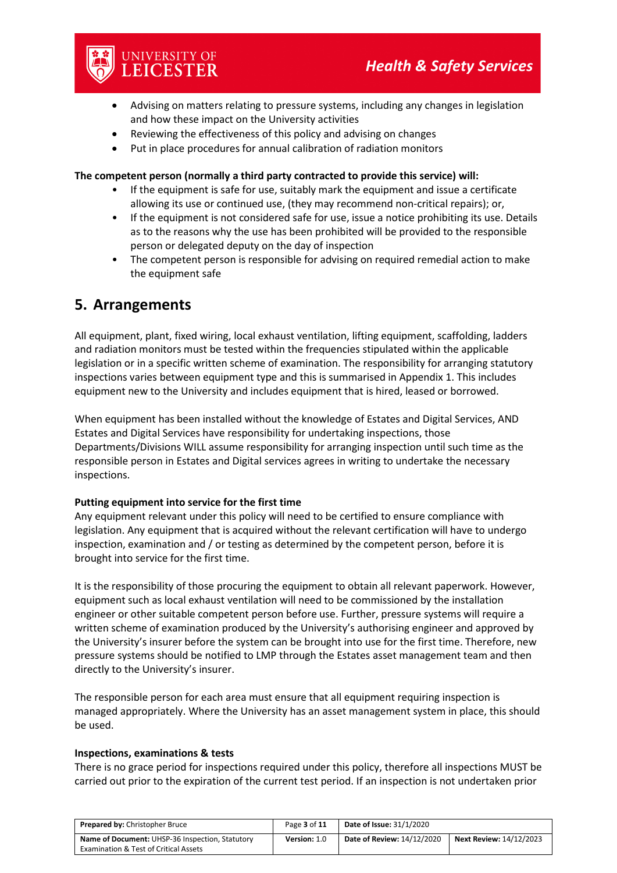

- Advising on matters relating to pressure systems, including any changes in legislation and how these impact on the University activities
- Reviewing the effectiveness of this policy and advising on changes
- Put in place procedures for annual calibration of radiation monitors

#### **The competent person (normally a third party contracted to provide this service) will:**

- If the equipment is safe for use, suitably mark the equipment and issue a certificate allowing its use or continued use, (they may recommend non-critical repairs); or,
- If the equipment is not considered safe for use, issue a notice prohibiting its use. Details as to the reasons why the use has been prohibited will be provided to the responsible person or delegated deputy on the day of inspection
- The competent person is responsible for advising on required remedial action to make the equipment safe

### **5. Arrangements**

All equipment, plant, fixed wiring, local exhaust ventilation, lifting equipment, scaffolding, ladders and radiation monitors must be tested within the frequencies stipulated within the applicable legislation or in a specific written scheme of examination. The responsibility for arranging statutory inspections varies between equipment type and this is summarised in Appendix 1. This includes equipment new to the University and includes equipment that is hired, leased or borrowed.

When equipment has been installed without the knowledge of Estates and Digital Services, AND Estates and Digital Services have responsibility for undertaking inspections, those Departments/Divisions WILL assume responsibility for arranging inspection until such time as the responsible person in Estates and Digital services agrees in writing to undertake the necessary inspections.

#### **Putting equipment into service for the first time**

Any equipment relevant under this policy will need to be certified to ensure compliance with legislation. Any equipment that is acquired without the relevant certification will have to undergo inspection, examination and / or testing as determined by the competent person, before it is brought into service for the first time.

It is the responsibility of those procuring the equipment to obtain all relevant paperwork. However, equipment such as local exhaust ventilation will need to be commissioned by the installation engineer or other suitable competent person before use. Further, pressure systems will require a written scheme of examination produced by the University's authorising engineer and approved by the University's insurer before the system can be brought into use for the first time. Therefore, new pressure systems should be notified to LMP through the Estates asset management team and then directly to the University's insurer.

The responsible person for each area must ensure that all equipment requiring inspection is managed appropriately. Where the University has an asset management system in place, this should be used.

#### **Inspections, examinations & tests**

There is no grace period for inspections required under this policy, therefore all inspections MUST be carried out prior to the expiration of the current test period. If an inspection is not undertaken prior

| <b>Prepared by: Christopher Bruce</b>                  | Page 3 of 11 | <b>Date of Issue: 31/1/2020</b>                                     |  |
|--------------------------------------------------------|--------------|---------------------------------------------------------------------|--|
| <b>Name of Document: UHSP-36 Inspection, Statutory</b> | Version: 1.0 | <b>Date of Review: 14/12/2020</b><br><b>Next Review: 14/12/2023</b> |  |
| <b>Examination &amp; Test of Critical Assets</b>       |              |                                                                     |  |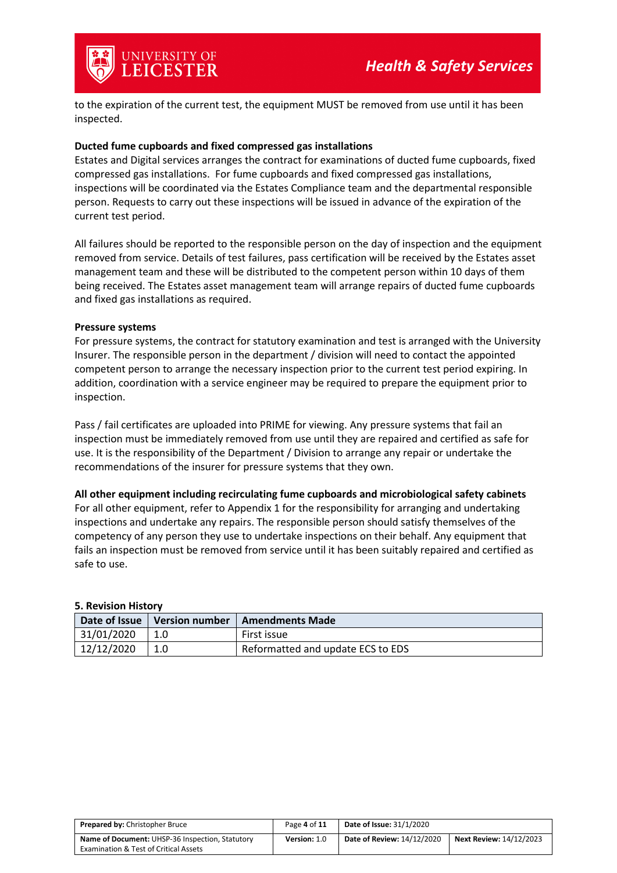

to the expiration of the current test, the equipment MUST be removed from use until it has been inspected.

#### **Ducted fume cupboards and fixed compressed gas installations**

Estates and Digital services arranges the contract for examinations of ducted fume cupboards, fixed compressed gas installations. For fume cupboards and fixed compressed gas installations, inspections will be coordinated via the Estates Compliance team and the departmental responsible person. Requests to carry out these inspections will be issued in advance of the expiration of the current test period.

All failures should be reported to the responsible person on the day of inspection and the equipment removed from service. Details of test failures, pass certification will be received by the Estates asset management team and these will be distributed to the competent person within 10 days of them being received. The Estates asset management team will arrange repairs of ducted fume cupboards and fixed gas installations as required.

#### **Pressure systems**

For pressure systems, the contract for statutory examination and test is arranged with the University Insurer. The responsible person in the department / division will need to contact the appointed competent person to arrange the necessary inspection prior to the current test period expiring. In addition, coordination with a service engineer may be required to prepare the equipment prior to inspection.

Pass / fail certificates are uploaded into PRIME for viewing. Any pressure systems that fail an inspection must be immediately removed from use until they are repaired and certified as safe for use. It is the responsibility of the Department / Division to arrange any repair or undertake the recommendations of the insurer for pressure systems that they own.

#### **All other equipment including recirculating fume cupboards and microbiological safety cabinets**

For all other equipment, refer to Appendix 1 for the responsibility for arranging and undertaking inspections and undertake any repairs. The responsible person should satisfy themselves of the competency of any person they use to undertake inspections on their behalf. Any equipment that fails an inspection must be removed from service until it has been suitably repaired and certified as safe to use.

| Date of Issue | <b>Version number</b> | Amendments Made                   |
|---------------|-----------------------|-----------------------------------|
| 31/01/2020    |                       | First issue                       |
| 12/12/2020    |                       | Reformatted and update ECS to EDS |

#### **5. Revision History**

| <b>Prepared by: Christopher Bruce</b>            | Page 4 of 11 | <b>Date of Issue: 31/1/2020</b>                                     |  |  |
|--------------------------------------------------|--------------|---------------------------------------------------------------------|--|--|
| Name of Document: UHSP-36 Inspection, Statutory  | Version: 1.0 | <b>Date of Review: 14/12/2020</b><br><b>Next Review: 14/12/2023</b> |  |  |
| <b>Examination &amp; Test of Critical Assets</b> |              |                                                                     |  |  |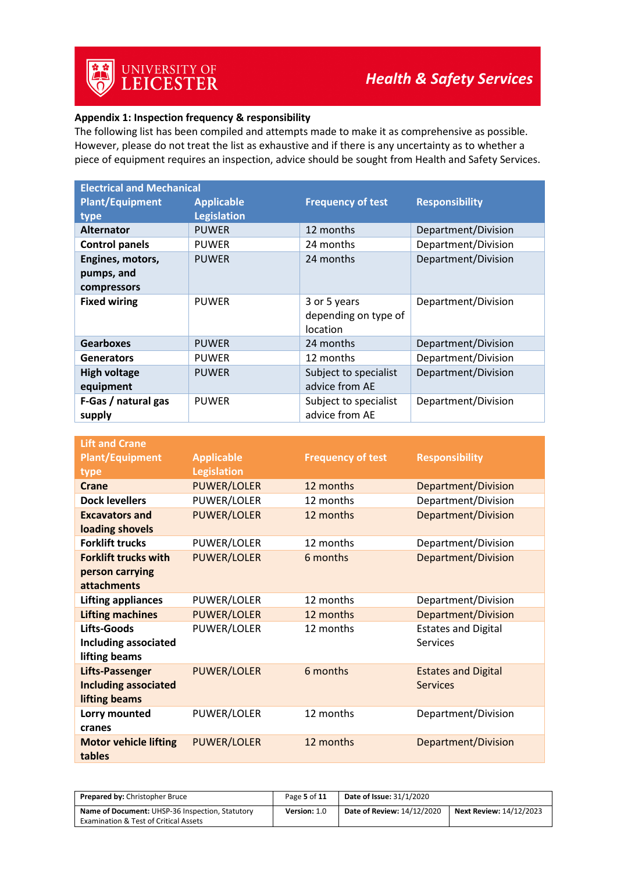#### **Appendix 1: Inspection frequency & responsibility**

The following list has been compiled and attempts made to make it as comprehensive as possible. However, please do not treat the list as exhaustive and if there is any uncertainty as to whether a piece of equipment requires an inspection, advice should be sought from Health and Safety Services.

| <b>Electrical and Mechanical</b> |                    |                                         |                       |  |  |  |
|----------------------------------|--------------------|-----------------------------------------|-----------------------|--|--|--|
| <b>Plant/Equipment</b>           | <b>Applicable</b>  | <b>Frequency of test</b>                | <b>Responsibility</b> |  |  |  |
| type                             | <b>Legislation</b> |                                         |                       |  |  |  |
| <b>Alternator</b>                | <b>PUWER</b>       | 12 months                               | Department/Division   |  |  |  |
| <b>Control panels</b>            | <b>PUWER</b>       | 24 months                               | Department/Division   |  |  |  |
| Engines, motors,                 | <b>PUWER</b>       | 24 months                               | Department/Division   |  |  |  |
| pumps, and                       |                    |                                         |                       |  |  |  |
| compressors                      |                    |                                         |                       |  |  |  |
| <b>Fixed wiring</b>              | <b>PUWER</b>       | 3 or 5 years<br>depending on type of    | Department/Division   |  |  |  |
| <b>Gearboxes</b>                 | <b>PUWER</b>       | location<br>24 months                   | Department/Division   |  |  |  |
|                                  |                    |                                         |                       |  |  |  |
| <b>Generators</b>                | <b>PUWER</b>       | 12 months                               | Department/Division   |  |  |  |
| <b>High voltage</b>              | <b>PUWER</b>       | Subject to specialist                   | Department/Division   |  |  |  |
| equipment                        |                    | advice from AE                          |                       |  |  |  |
| F-Gas / natural gas<br>supply    | <b>PUWER</b>       | Subject to specialist<br>advice from AE | Department/Division   |  |  |  |

| <b>Lift and Crane</b>        |                    |                          |                            |
|------------------------------|--------------------|--------------------------|----------------------------|
| <b>Plant/Equipment</b>       | <b>Applicable</b>  | <b>Frequency of test</b> | <b>Responsibility</b>      |
| type                         | <b>Legislation</b> |                          |                            |
| Crane                        | <b>PUWER/LOLER</b> | 12 months                | Department/Division        |
| <b>Dock levellers</b>        | PUWER/LOLER        | 12 months                | Department/Division        |
| <b>Excavators and</b>        | <b>PUWER/LOLER</b> | 12 months                | Department/Division        |
| loading shovels              |                    |                          |                            |
| <b>Forklift trucks</b>       | PUWER/LOLER        | 12 months                | Department/Division        |
| <b>Forklift trucks with</b>  | <b>PUWER/LOLER</b> | 6 months                 | Department/Division        |
| person carrying              |                    |                          |                            |
| <b>attachments</b>           |                    |                          |                            |
| <b>Lifting appliances</b>    | PUWER/LOLER        | 12 months                | Department/Division        |
| <b>Lifting machines</b>      | <b>PUWER/LOLER</b> | 12 months                | <b>Department/Division</b> |
| Lifts-Goods                  | PUWER/LOLER        | 12 months                | <b>Estates and Digital</b> |
| <b>Including associated</b>  |                    |                          | <b>Services</b>            |
| lifting beams                |                    |                          |                            |
| <b>Lifts-Passenger</b>       | <b>PUWER/LOLER</b> | 6 months                 | <b>Estates and Digital</b> |
| <b>Including associated</b>  |                    |                          | <b>Services</b>            |
| lifting beams                |                    |                          |                            |
| Lorry mounted                | PUWER/LOLER        | 12 months                | Department/Division        |
| cranes                       |                    |                          |                            |
| <b>Motor vehicle lifting</b> | PUWER/LOLER        | 12 months                | Department/Division        |
| tables                       |                    |                          |                            |

| <b>Prepared by: Christopher Bruce</b>            | Page 5 of 11 | <b>Date of Issue: 31/1/2020</b>   |                                |
|--------------------------------------------------|--------------|-----------------------------------|--------------------------------|
| Name of Document: UHSP-36 Inspection, Statutory  | Version: 1.0 | <b>Date of Review: 14/12/2020</b> | <b>Next Review: 14/12/2023</b> |
| <b>Examination &amp; Test of Critical Assets</b> |              |                                   |                                |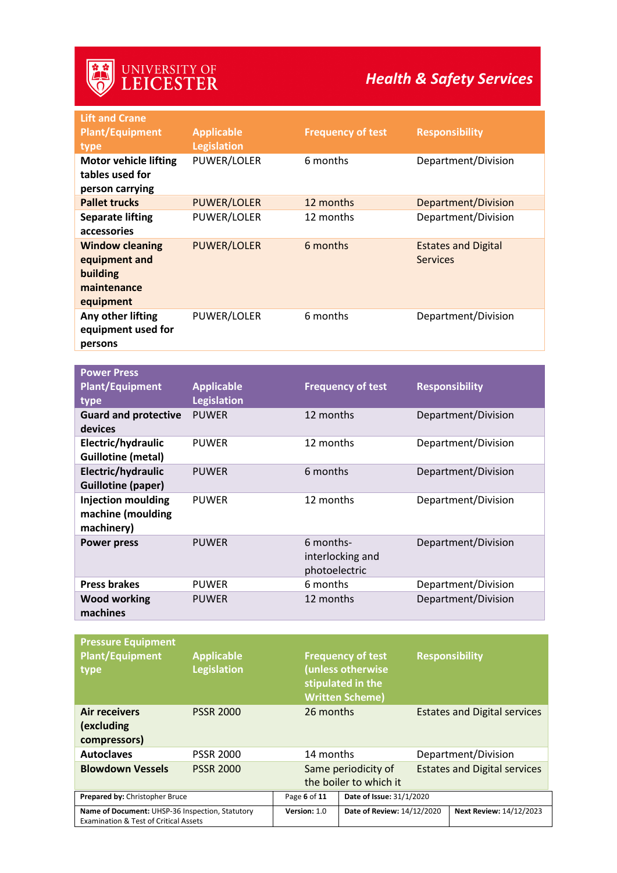## *Health & Safety Services*

| <b>Lift and Crane</b>                                                           |                    |                                                |                                               |
|---------------------------------------------------------------------------------|--------------------|------------------------------------------------|-----------------------------------------------|
| <b>Plant/Equipment</b>                                                          | <b>Applicable</b>  | <b>Frequency of test</b>                       | <b>Responsibility</b>                         |
| type                                                                            | <b>Legislation</b> |                                                |                                               |
| <b>Motor vehicle lifting</b>                                                    | PUWER/LOLER        | 6 months                                       | Department/Division                           |
| tables used for                                                                 |                    |                                                |                                               |
| person carrying                                                                 |                    |                                                |                                               |
| <b>Pallet trucks</b>                                                            | <b>PUWER/LOLER</b> | 12 months                                      | <b>Department/Division</b>                    |
| <b>Separate lifting</b><br>accessories                                          | PUWER/LOLER        | 12 months                                      | Department/Division                           |
| <b>Window cleaning</b><br>equipment and<br>building<br>maintenance<br>equipment | <b>PUWER/LOLER</b> | 6 months                                       | <b>Estates and Digital</b><br><b>Services</b> |
| Any other lifting<br>equipment used for<br>persons                              | PUWER/LOLER        | 6 months                                       | Department/Division                           |
|                                                                                 |                    |                                                |                                               |
| <b>Power Press</b>                                                              |                    |                                                |                                               |
| <b>Plant/Equipment</b>                                                          | <b>Applicable</b>  | <b>Frequency of test</b>                       | <b>Responsibility</b>                         |
| type                                                                            | <b>Legislation</b> |                                                |                                               |
| <b>Guard and protective</b><br>devices                                          | <b>PUWER</b>       | 12 months                                      | Department/Division                           |
| Electric/hydraulic<br><b>Guillotine (metal)</b>                                 | <b>PUWER</b>       | 12 months                                      | Department/Division                           |
| Electric/hydraulic<br><b>Guillotine (paper)</b>                                 | <b>PUWER</b>       | 6 months                                       | Department/Division                           |
| <b>Injection moulding</b><br>machine (moulding<br>machinery)                    | <b>PUWER</b>       | 12 months                                      | Department/Division                           |
| <b>Power press</b>                                                              | <b>PUWER</b>       | 6 months-<br>interlocking and<br>photoelectric | Department/Division                           |
| <b>Press brakes</b>                                                             | <b>PUWER</b>       | 6 months                                       | Department/Division                           |
| <b>Wood working</b><br>machines                                                 | <b>PUWER</b>       | 12 months                                      | Department/Division                           |
|                                                                                 |                    |                                                |                                               |

| <b>Pressure Equipment</b><br><b>Plant/Equipment</b><br>type                                         | <b>Applicable</b><br><b>Legislation</b> | <b>Frequency of test</b><br>(unless otherwise<br>stipulated in the<br><b>Written Scheme)</b> |                            |                                     | <b>Responsibility</b>               |
|-----------------------------------------------------------------------------------------------------|-----------------------------------------|----------------------------------------------------------------------------------------------|----------------------------|-------------------------------------|-------------------------------------|
| Air receivers<br>(excluding<br>compressors)                                                         | <b>PSSR 2000</b>                        | 26 months                                                                                    |                            | <b>Estates and Digital services</b> |                                     |
| <b>Autoclaves</b>                                                                                   | <b>PSSR 2000</b>                        | 14 months                                                                                    |                            |                                     | Department/Division                 |
| <b>Blowdown Vessels</b>                                                                             | <b>PSSR 2000</b>                        | Same periodicity of<br>the boiler to which it                                                |                            |                                     | <b>Estates and Digital services</b> |
| Prepared by: Christopher Bruce                                                                      |                                         | Date of Issue: 31/1/2020<br>Page 6 of 11                                                     |                            |                                     |                                     |
| Name of Document: UHSP-36 Inspection, Statutory<br><b>Examination &amp; Test of Critical Assets</b> |                                         | Version: 1.0                                                                                 | Date of Review: 14/12/2020 |                                     | <b>Next Review: 14/12/2023</b>      |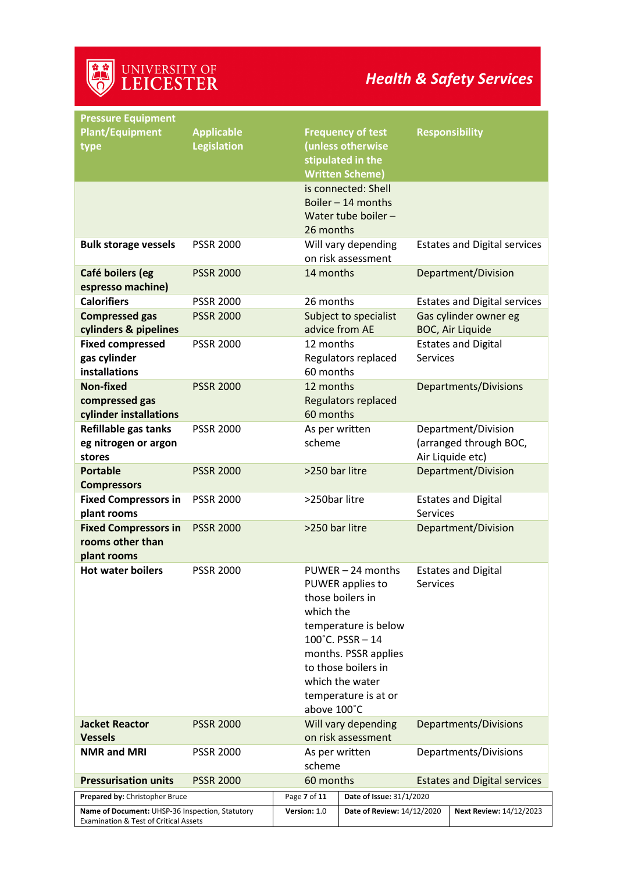| <b>Pressure Equipment</b>                       |                                         |                          |                                               |                 |                                     |
|-------------------------------------------------|-----------------------------------------|--------------------------|-----------------------------------------------|-----------------|-------------------------------------|
| <b>Plant/Equipment</b><br>type                  | <b>Applicable</b><br><b>Legislation</b> |                          | <b>Frequency of test</b><br>(unless otherwise |                 | <b>Responsibility</b>               |
|                                                 |                                         |                          | stipulated in the<br><b>Written Scheme)</b>   |                 |                                     |
|                                                 |                                         |                          | is connected: Shell                           |                 |                                     |
|                                                 |                                         |                          | Boiler $-14$ months                           |                 |                                     |
|                                                 |                                         |                          | Water tube boiler -                           |                 |                                     |
|                                                 |                                         | 26 months                |                                               |                 |                                     |
| <b>Bulk storage vessels</b>                     | <b>PSSR 2000</b>                        |                          | Will vary depending                           |                 | <b>Estates and Digital services</b> |
|                                                 |                                         |                          | on risk assessment                            |                 |                                     |
| Café boilers (eg<br>espresso machine)           | <b>PSSR 2000</b>                        | 14 months                |                                               |                 | Department/Division                 |
| <b>Calorifiers</b>                              | <b>PSSR 2000</b>                        | 26 months                |                                               |                 | <b>Estates and Digital services</b> |
| <b>Compressed gas</b>                           | <b>PSSR 2000</b>                        |                          | Subject to specialist                         |                 | Gas cylinder owner eg               |
| cylinders & pipelines                           |                                         | advice from AE           |                                               |                 | <b>BOC, Air Liquide</b>             |
| <b>Fixed compressed</b>                         | <b>PSSR 2000</b>                        | 12 months                |                                               |                 | <b>Estates and Digital</b>          |
| gas cylinder                                    |                                         |                          | Regulators replaced                           | <b>Services</b> |                                     |
| installations                                   |                                         | 60 months<br>12 months   |                                               |                 |                                     |
| <b>Non-fixed</b><br>compressed gas              | <b>PSSR 2000</b>                        |                          | Regulators replaced                           |                 | <b>Departments/Divisions</b>        |
| cylinder installations                          |                                         | 60 months                |                                               |                 |                                     |
| Refillable gas tanks                            | <b>PSSR 2000</b>                        | As per written           |                                               |                 | Department/Division                 |
| eg nitrogen or argon                            |                                         | scheme                   |                                               |                 | (arranged through BOC,              |
| stores                                          |                                         |                          |                                               |                 | Air Liquide etc)                    |
| <b>Portable</b>                                 | <b>PSSR 2000</b>                        | >250 bar litre           |                                               |                 | Department/Division                 |
| <b>Compressors</b>                              |                                         |                          |                                               |                 |                                     |
| <b>Fixed Compressors in</b>                     | <b>PSSR 2000</b>                        | >250bar litre            |                                               |                 | <b>Estates and Digital</b>          |
| plant rooms                                     |                                         |                          |                                               | <b>Services</b> |                                     |
| <b>Fixed Compressors in</b><br>rooms other than | <b>PSSR 2000</b>                        | >250 bar litre           |                                               |                 | Department/Division                 |
| plant rooms                                     |                                         |                          |                                               |                 |                                     |
| <b>Hot water boilers</b>                        | <b>PSSR 2000</b>                        |                          | PUWER - 24 months                             |                 | <b>Estates and Digital</b>          |
|                                                 |                                         |                          | PUWER applies to                              | <b>Services</b> |                                     |
|                                                 |                                         |                          | those boilers in                              |                 |                                     |
|                                                 |                                         | which the                |                                               |                 |                                     |
|                                                 |                                         |                          | temperature is below                          |                 |                                     |
|                                                 |                                         |                          | $100^{\circ}$ C. PSSR - 14                    |                 |                                     |
|                                                 |                                         |                          | months. PSSR applies                          |                 |                                     |
|                                                 |                                         |                          | to those boilers in                           |                 |                                     |
|                                                 |                                         |                          | which the water                               |                 |                                     |
|                                                 |                                         | above 100°C              | temperature is at or                          |                 |                                     |
| <b>Jacket Reactor</b>                           | <b>PSSR 2000</b>                        |                          | Will vary depending                           |                 | Departments/Divisions               |
| <b>Vessels</b>                                  |                                         |                          | on risk assessment                            |                 |                                     |
| <b>NMR and MRI</b>                              | <b>PSSR 2000</b>                        | As per written<br>scheme |                                               |                 | Departments/Divisions               |
| <b>Pressurisation units</b>                     | <b>PSSR 2000</b>                        | 60 months                |                                               |                 | <b>Estates and Digital services</b> |
| Prepared by: Christopher Bruce                  |                                         | Page 7 of 11             | Date of Issue: 31/1/2020                      |                 |                                     |
| Name of Document: UHSP-36 Inspection, Statutory |                                         | Version: 1.0             | Date of Review: 14/12/2020                    |                 | Next Review: 14/12/2023             |
| Examination & Test of Critical Assets           |                                         |                          |                                               |                 |                                     |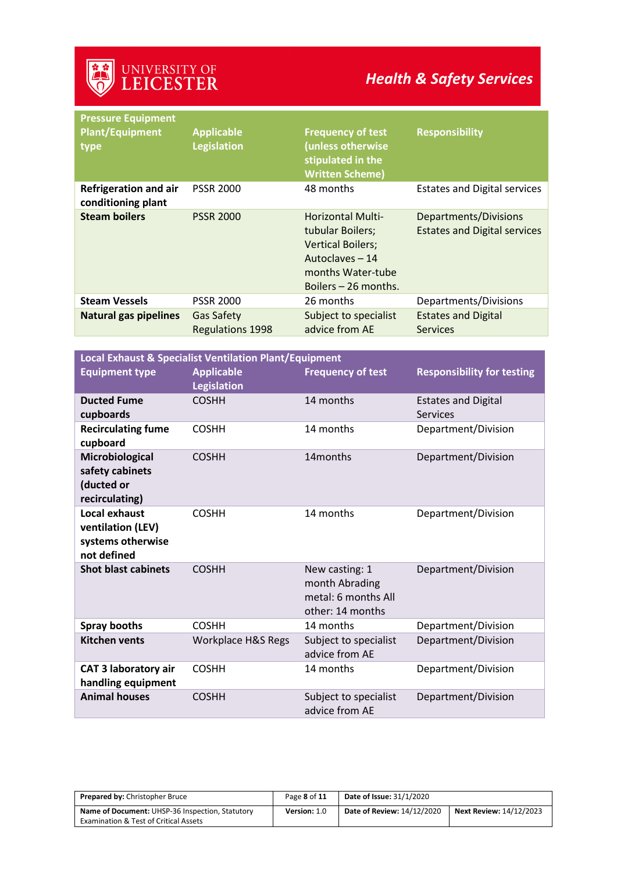## *Health & Safety Services*

| <b>Pressure Equipment</b><br><b>Plant/Equipment</b><br>type | <b>Applicable</b><br><b>Legislation</b>      | <b>Frequency of test</b><br>(unless otherwise<br>stipulated in the<br><b>Written Scheme)</b>                                             | <b>Responsibility</b>                                        |
|-------------------------------------------------------------|----------------------------------------------|------------------------------------------------------------------------------------------------------------------------------------------|--------------------------------------------------------------|
| <b>Refrigeration and air</b><br>conditioning plant          | <b>PSSR 2000</b>                             | 48 months                                                                                                                                | <b>Estates and Digital services</b>                          |
| <b>Steam boilers</b>                                        | <b>PSSR 2000</b>                             | <b>Horizontal Multi-</b><br>tubular Boilers;<br><b>Vertical Boilers;</b><br>Autoclaves - 14<br>months Water-tube<br>Boilers - 26 months. | Departments/Divisions<br><b>Estates and Digital services</b> |
| <b>Steam Vessels</b>                                        | <b>PSSR 2000</b>                             | 26 months                                                                                                                                | Departments/Divisions                                        |
| <b>Natural gas pipelines</b>                                | <b>Gas Safety</b><br><b>Regulations 1998</b> | Subject to specialist<br>advice from AE                                                                                                  | <b>Estates and Digital</b><br><b>Services</b>                |
|                                                             |                                              |                                                                                                                                          |                                                              |

| <b>Local Exhaust &amp; Specialist Ventilation Plant/Equipment</b>             |                                         |                                                                             |                                               |  |
|-------------------------------------------------------------------------------|-----------------------------------------|-----------------------------------------------------------------------------|-----------------------------------------------|--|
| <b>Equipment type</b>                                                         | <b>Applicable</b><br><b>Legislation</b> | <b>Frequency of test</b>                                                    | <b>Responsibility for testing</b>             |  |
| <b>Ducted Fume</b><br>cupboards                                               | <b>COSHH</b>                            | 14 months                                                                   | <b>Estates and Digital</b><br><b>Services</b> |  |
| <b>Recirculating fume</b><br>cupboard                                         | <b>COSHH</b>                            | 14 months                                                                   | Department/Division                           |  |
| Microbiological<br>safety cabinets<br>(ducted or<br>recirculating)            | <b>COSHH</b>                            | 14 <sub>months</sub>                                                        | Department/Division                           |  |
| <b>Local exhaust</b><br>ventilation (LEV)<br>systems otherwise<br>not defined | <b>COSHH</b>                            | 14 months                                                                   | Department/Division                           |  |
| <b>Shot blast cabinets</b>                                                    | <b>COSHH</b>                            | New casting: 1<br>month Abrading<br>metal: 6 months All<br>other: 14 months | Department/Division                           |  |
| <b>Spray booths</b>                                                           | <b>COSHH</b>                            | 14 months                                                                   | Department/Division                           |  |
| <b>Kitchen vents</b>                                                          | Workplace H&S Regs                      | Subject to specialist<br>advice from AE                                     | Department/Division                           |  |
| <b>CAT 3 laboratory air</b><br>handling equipment                             | <b>COSHH</b>                            | 14 months                                                                   | Department/Division                           |  |
| <b>Animal houses</b>                                                          | <b>COSHH</b>                            | Subject to specialist<br>advice from AE                                     | Department/Division                           |  |

| <b>Prepared by: Christopher Bruce</b>                  | Page 8 of 11 | <b>Date of Issue: 31/1/2020</b>   |                                |
|--------------------------------------------------------|--------------|-----------------------------------|--------------------------------|
| <b>Name of Document: UHSP-36 Inspection, Statutory</b> | Version: 1.0 | <b>Date of Review: 14/12/2020</b> | <b>Next Review: 14/12/2023</b> |
| <b>Examination &amp; Test of Critical Assets</b>       |              |                                   |                                |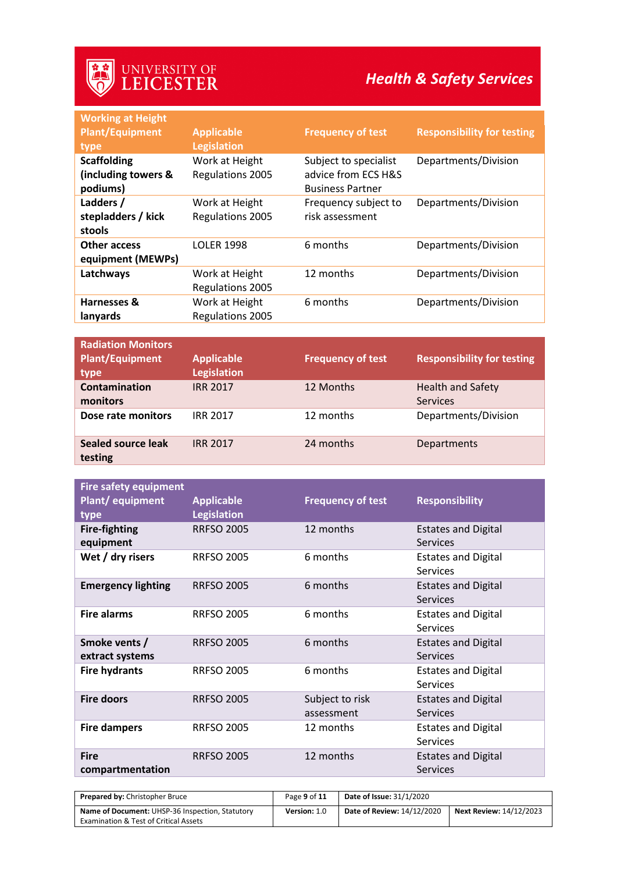## *Health & Safety Services*

| <b>Working at Height</b><br><b>Plant/Equipment</b><br>type | <b>Applicable</b><br><b>Legislation</b>   | <b>Frequency of test</b>                                                | <b>Responsibility for testing</b> |
|------------------------------------------------------------|-------------------------------------------|-------------------------------------------------------------------------|-----------------------------------|
| <b>Scaffolding</b><br>(including towers &<br>podiums)      | Work at Height<br>Regulations 2005        | Subject to specialist<br>advice from ECS H&S<br><b>Business Partner</b> | Departments/Division              |
| Ladders /<br>stepladders / kick<br>stools                  | Work at Height<br>Regulations 2005        | Frequency subject to<br>risk assessment                                 | Departments/Division              |
| Other access<br>equipment (MEWPs)                          | <b>LOLER 1998</b>                         | 6 months                                                                | Departments/Division              |
| Latchways                                                  | Work at Height<br><b>Regulations 2005</b> | 12 months                                                               | Departments/Division              |
| Harnesses &<br>lanyards                                    | Work at Height<br>Regulations 2005        | 6 months                                                                | Departments/Division              |
|                                                            |                                           |                                                                         |                                   |

| <b>Radiation Monitors</b><br><b>Plant/Equipment</b><br>type | <b>Applicable</b><br><b>Legislation</b> | <b>Frequency of test</b> | <b>Responsibility for testing</b>           |
|-------------------------------------------------------------|-----------------------------------------|--------------------------|---------------------------------------------|
| Contamination<br>monitors                                   | <b>IRR 2017</b>                         | 12 Months                | <b>Health and Safety</b><br><b>Services</b> |
| Dose rate monitors                                          | <b>IRR 2017</b>                         | 12 months                | Departments/Division                        |
| Sealed source leak<br>testing                               | <b>IRR 2017</b>                         | 24 months                | Departments                                 |

| <b>Fire safety equipment</b> |                    |                          |                            |
|------------------------------|--------------------|--------------------------|----------------------------|
| Plant/equipment              | <b>Applicable</b>  | <b>Frequency of test</b> | <b>Responsibility</b>      |
| type                         | <b>Legislation</b> |                          |                            |
| <b>Fire-fighting</b>         | <b>RRFSO 2005</b>  | 12 months                | <b>Estates and Digital</b> |
| equipment                    |                    |                          | <b>Services</b>            |
| Wet / dry risers             | <b>RRFSO 2005</b>  | 6 months                 | <b>Estates and Digital</b> |
|                              |                    |                          | Services                   |
| <b>Emergency lighting</b>    | <b>RRFSO 2005</b>  | 6 months                 | <b>Estates and Digital</b> |
|                              |                    |                          | <b>Services</b>            |
| <b>Fire alarms</b>           | <b>RRFSO 2005</b>  | 6 months                 | <b>Estates and Digital</b> |
|                              |                    |                          | <b>Services</b>            |
| Smoke vents /                | <b>RRFSO 2005</b>  | 6 months                 | <b>Estates and Digital</b> |
| extract systems              |                    |                          | <b>Services</b>            |
| <b>Fire hydrants</b>         | <b>RRFSO 2005</b>  | 6 months                 | <b>Estates and Digital</b> |
|                              |                    |                          | Services                   |
| <b>Fire doors</b>            | <b>RRFSO 2005</b>  | Subject to risk          | <b>Estates and Digital</b> |
|                              |                    | assessment               | <b>Services</b>            |
| <b>Fire dampers</b>          | <b>RRFSO 2005</b>  | 12 months                | <b>Estates and Digital</b> |
|                              |                    |                          | Services                   |
| <b>Fire</b>                  | <b>RRFSO 2005</b>  | 12 months                | <b>Estates and Digital</b> |
| compartmentation             |                    |                          | <b>Services</b>            |

| <b>Prepared by: Christopher Bruce</b>                                                               | Page 9 of 11 | <b>Date of Issue: 31/1/2020</b> |                                |
|-----------------------------------------------------------------------------------------------------|--------------|---------------------------------|--------------------------------|
| Name of Document: UHSP-36 Inspection, Statutory<br><b>Examination &amp; Test of Critical Assets</b> | Version: 1.0 | Date of Review: 14/12/2020      | <b>Next Review: 14/12/2023</b> |